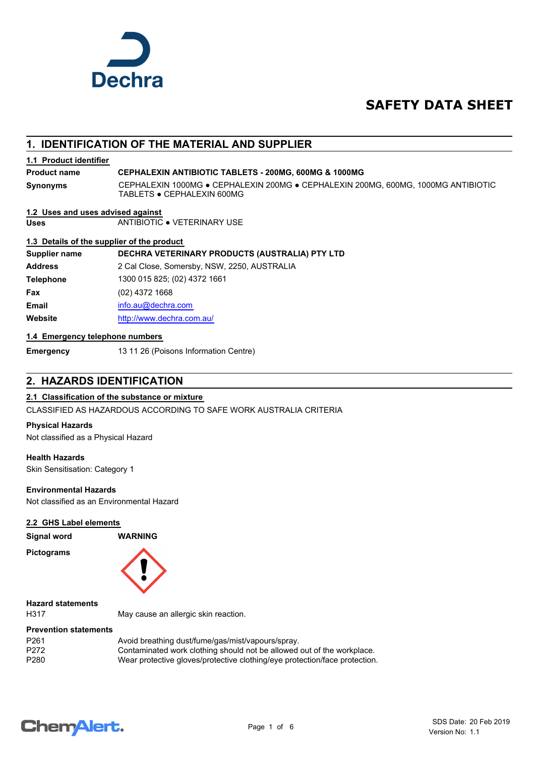

# **SAFETY DATA SHEET**

# **1. IDENTIFICATION OF THE MATERIAL AND SUPPLIER**

## **1.1 Product identifier**

## **Product name CEPHALEXIN ANTIBIOTIC TABLETS - 200MG, 600MG & 1000MG**

**Synonyms**

CEPHALEXIN 1000MG ● CEPHALEXIN 200MG ● CEPHALEXIN 200MG, 600MG, 1000MG ANTIBIOTIC TABLETS ● CEPHALEXIN 600MG

#### **1.2 Uses and uses advised against**

**Uses** ANTIBIOTIC ● VETERINARY USE

## **1.3 Details of the supplier of the product**

**Supplier name DECHRA VETERINARY PRODUCTS (AUSTRALIA) PTY LTD**

**Address** 2 Cal Close, Somersby, NSW, 2250, AUSTRALIA **Telephone** 1300 015 825; (02) 4372 1661 **Fax** (02) 4372 1668 **Email** [info.au@](mailto:info.au@dechra.com)dechra.com **Website** [http://www.](http://www.dechra.com.au/)dechra.com.au/

## **1.4 Emergency telephone numbers**

**Emergency** 13 11 26 (Poisons Information Centre)

# **2. HAZARDS IDENTIFICATION**

## **2.1 Classification of the substance or mixture**

CLASSIFIED AS HAZARDOUS ACCORDING TO SAFE WORK AUSTRALIA CRITERIA

#### **Physical Hazards**

Not classified as a Physical Hazard

## **Health Hazards**

**Pictograms**

Skin Sensitisation: Category 1

## **Environmental Hazards**

Not classified as an Environmental Hazard

## **2.2 GHS Label elements**

**Signal word WARNING**



**Hazard statements**

H317 May cause an allergic skin reaction.

## **Prevention statements**

| P <sub>261</sub> | Avoid breathing dust/fume/gas/mist/vapours/spray.                          |
|------------------|----------------------------------------------------------------------------|
| P272             | Contaminated work clothing should not be allowed out of the workplace.     |
| P280             | Wear protective gloves/protective clothing/eye protection/face protection. |

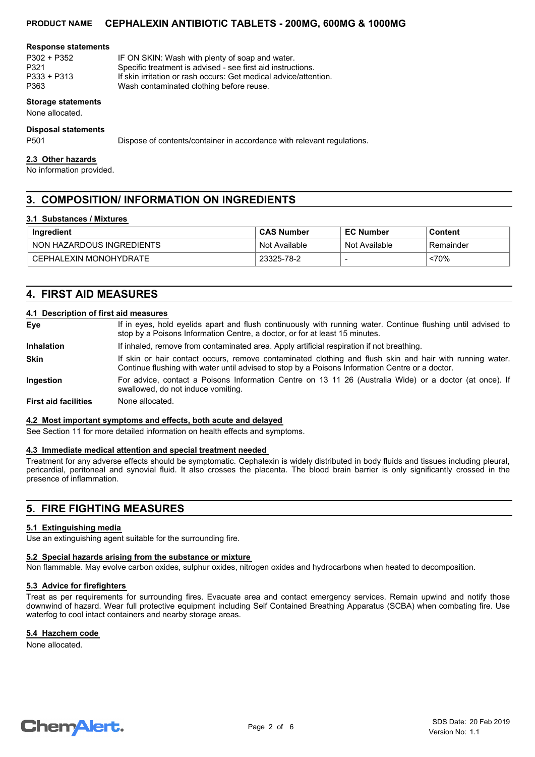## **PRODUCT NAME CEPHALEXIN ANTIBIOTIC TABLETS - 200MG, 600MG & 1000MG**

#### **Response statements**

P302 + P352 IF ON SKIN: Wash with plenty of soap and water. P321 Specific treatment is advised - see first aid instructions.<br>P333 + P313 If skin irritation or rash occurs: Get medical advice/atter P333 + P313 If skin irritation or rash occurs: Get medical advice/attention.<br>P363 If ash contaminated clothing before reuse. Wash contaminated clothing before reuse.

## **Storage statements**

None allocated.

#### **Disposal statements**

P501 Dispose of contents/container in accordance with relevant regulations.

#### **2.3 Other hazards**

No information provided.

# **3. COMPOSITION/ INFORMATION ON INGREDIENTS**

#### **3.1 Substances / Mixtures**

| Ingredient                | <b>CAS Number</b> | <b>EC Number</b> | <b>Content</b> |
|---------------------------|-------------------|------------------|----------------|
| NON HAZARDOUS INGREDIENTS | Not Available     | Not Available    | Remainder      |
| CEPHALEXIN MONOHYDRATE    | 23325-78-2        |                  | <70%           |

## **4. FIRST AID MEASURES**

## **4.1 Description of first aid measures**

| Eye                         | If in eyes, hold eyelids apart and flush continuously with running water. Continue flushing until advised to<br>stop by a Poisons Information Centre, a doctor, or for at least 15 minutes.                 |
|-----------------------------|-------------------------------------------------------------------------------------------------------------------------------------------------------------------------------------------------------------|
| <b>Inhalation</b>           | If inhaled, remove from contaminated area. Apply artificial respiration if not breathing.                                                                                                                   |
| <b>Skin</b>                 | If skin or hair contact occurs, remove contaminated clothing and flush skin and hair with running water.<br>Continue flushing with water until advised to stop by a Poisons Information Centre or a doctor. |
| Ingestion                   | For advice, contact a Poisons Information Centre on 13 11 26 (Australia Wide) or a doctor (at once). If<br>swallowed, do not induce vomiting.                                                               |
| <b>First aid facilities</b> | None allocated.                                                                                                                                                                                             |

#### **4.2 Most important symptoms and effects, both acute and delayed**

See Section 11 for more detailed information on health effects and symptoms.

## **4.3 Immediate medical attention and special treatment needed**

Treatment for any adverse effects should be symptomatic. Cephalexin is widely distributed in body fluids and tissues including pleural, pericardial, peritoneal and synovial fluid. It also crosses the placenta. The blood brain barrier is only significantly crossed in the presence of inflammation.

## **5. FIRE FIGHTING MEASURES**

#### **5.1 Extinguishing media**

Use an extinguishing agent suitable for the surrounding fire.

## **5.2 Special hazards arising from the substance or mixture**

Non flammable. May evolve carbon oxides, sulphur oxides, nitrogen oxides and hydrocarbons when heated to decomposition.

#### **5.3 Advice for firefighters**

Treat as per requirements for surrounding fires. Evacuate area and contact emergency services. Remain upwind and notify those downwind of hazard. Wear full protective equipment including Self Contained Breathing Apparatus (SCBA) when combating fire. Use waterfog to cool intact containers and nearby storage areas.

## **5.4 Hazchem code**

None allocated.

# **ChemAlert.**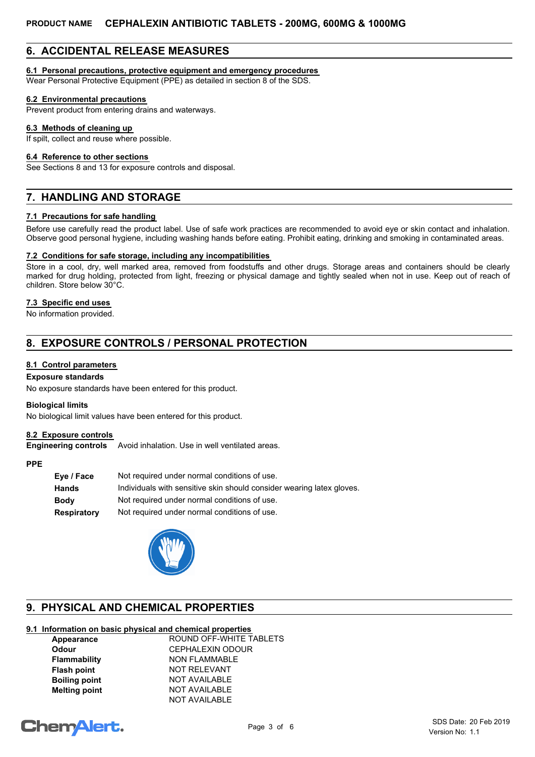# **6. ACCIDENTAL RELEASE MEASURES**

## **6.1 Personal precautions, protective equipment and emergency procedures**

Wear Personal Protective Equipment (PPE) as detailed in section 8 of the SDS.

## **6.2 Environmental precautions**

Prevent product from entering drains and waterways.

## **6.3 Methods of cleaning up**

If spilt, collect and reuse where possible.

#### **6.4 Reference to other sections**

See Sections 8 and 13 for exposure controls and disposal.

# **7. HANDLING AND STORAGE**

## **7.1 Precautions for safe handling**

Before use carefully read the product label. Use of safe work practices are recommended to avoid eye or skin contact and inhalation. Observe good personal hygiene, including washing hands before eating. Prohibit eating, drinking and smoking in contaminated areas.

## **7.2 Conditions for safe storage, including any incompatibilities**

Store in a cool, dry, well marked area, removed from foodstuffs and other drugs. Storage areas and containers should be clearly marked for drug holding, protected from light, freezing or physical damage and tightly sealed when not in use. Keep out of reach of children. Store below 30°C.

## **7.3 Specific end uses**

No information provided.

# **8. EXPOSURE CONTROLS / PERSONAL PROTECTION**

## **8.1 Control parameters**

## **Exposure standards**

No exposure standards have been entered for this product.

#### **Biological limits**

No biological limit values have been entered for this product.

#### **8.2 Exposure controls**

**Engineering controls** Avoid inhalation. Use in well ventilated areas.

#### **PPE**

| Individuals with sensitive skin should consider wearing latex gloves. |
|-----------------------------------------------------------------------|
|                                                                       |
|                                                                       |
|                                                                       |



# **9. PHYSICAL AND CHEMICAL PROPERTIES**

# **9.1 Information on basic physical and chemical properties**

| Appearance           | ROUND OFF-WHITE TABLETS |
|----------------------|-------------------------|
| <b>Odour</b>         | <b>CEPHALEXIN ODOUR</b> |
| <b>Flammability</b>  | <b>NON FLAMMABLE</b>    |
| <b>Flash point</b>   | <b>NOT RELEVANT</b>     |
| <b>Boiling point</b> | <b>NOT AVAILABLE</b>    |
| <b>Melting point</b> | <b>NOT AVAILABLE</b>    |
|                      | <b>NOT AVAILABLE</b>    |

# **ChemAlert.**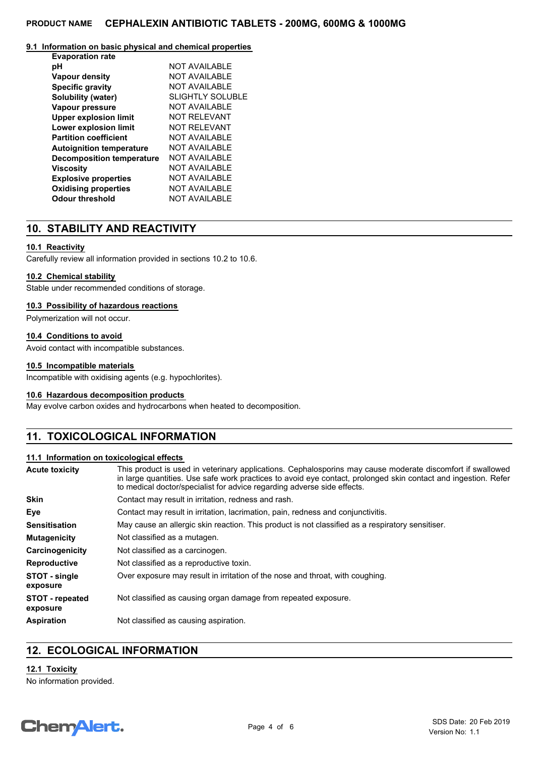## **9.1 Information on basic physical and chemical properties**

| <b>Evaporation rate</b>          |                         |
|----------------------------------|-------------------------|
| рH                               | NOT AVAILABLE           |
| <b>Vapour density</b>            | NOT AVAILABLE           |
| <b>Specific gravity</b>          | <b>NOT AVAILABLE</b>    |
| Solubility (water)               | <b>SLIGHTLY SOLUBLE</b> |
| Vapour pressure                  | NOT AVAILABLE           |
| <b>Upper explosion limit</b>     | NOT REI EVANT           |
| Lower explosion limit            | <b>NOT RELEVANT</b>     |
| <b>Partition coefficient</b>     | <b>NOT AVAILABLE</b>    |
| <b>Autoignition temperature</b>  | NOT AVAILABLE           |
| <b>Decomposition temperature</b> | NOT AVAILABLE           |
| <b>Viscosity</b>                 | <b>NOT AVAILABLE</b>    |
| <b>Explosive properties</b>      | <b>NOT AVAILABLE</b>    |
| <b>Oxidising properties</b>      | <b>NOT AVAILABLE</b>    |
| Odour threshold                  | <b>NOT AVAILABLE</b>    |

## **10. STABILITY AND REACTIVITY**

## **10.1 Reactivity**

Carefully review all information provided in sections 10.2 to 10.6.

#### **10.2 Chemical stability**

Stable under recommended conditions of storage.

#### **10.3 Possibility of hazardous reactions**

Polymerization will not occur.

## **10.4 Conditions to avoid**

Avoid contact with incompatible substances.

#### **10.5 Incompatible materials**

Incompatible with oxidising agents (e.g. hypochlorites).

## **10.6 Hazardous decomposition products**

May evolve carbon oxides and hydrocarbons when heated to decomposition.

# **11. TOXICOLOGICAL INFORMATION**

## **11.1 Information on toxicological effects**

| Acute toxicity                     | This product is used in veterinary applications. Cephalosporins may cause moderate discomfort if swallowed<br>in large quantities. Use safe work practices to avoid eye contact, prolonged skin contact and ingestion. Refer<br>to medical doctor/specialist for advice regarding adverse side effects. |  |  |
|------------------------------------|---------------------------------------------------------------------------------------------------------------------------------------------------------------------------------------------------------------------------------------------------------------------------------------------------------|--|--|
| <b>Skin</b>                        | Contact may result in irritation, redness and rash.                                                                                                                                                                                                                                                     |  |  |
| Eye                                | Contact may result in irritation, lacrimation, pain, redness and conjunctivitis.                                                                                                                                                                                                                        |  |  |
| Sensitisation                      | May cause an allergic skin reaction. This product is not classified as a respiratory sensitiser.                                                                                                                                                                                                        |  |  |
| Mutagenicity                       | Not classified as a mutagen.                                                                                                                                                                                                                                                                            |  |  |
| Carcinogenicity                    | Not classified as a carcinogen.                                                                                                                                                                                                                                                                         |  |  |
| Reproductive                       | Not classified as a reproductive toxin.                                                                                                                                                                                                                                                                 |  |  |
| STOT - single<br>exposure          | Over exposure may result in irritation of the nose and throat, with coughing.                                                                                                                                                                                                                           |  |  |
| <b>STOT - repeated</b><br>exposure | Not classified as causing organ damage from repeated exposure.                                                                                                                                                                                                                                          |  |  |
| Aspiration                         | Not classified as causing aspiration.                                                                                                                                                                                                                                                                   |  |  |
|                                    |                                                                                                                                                                                                                                                                                                         |  |  |

# **12. ECOLOGICAL INFORMATION**

## **12.1 Toxicity**

No information provided.

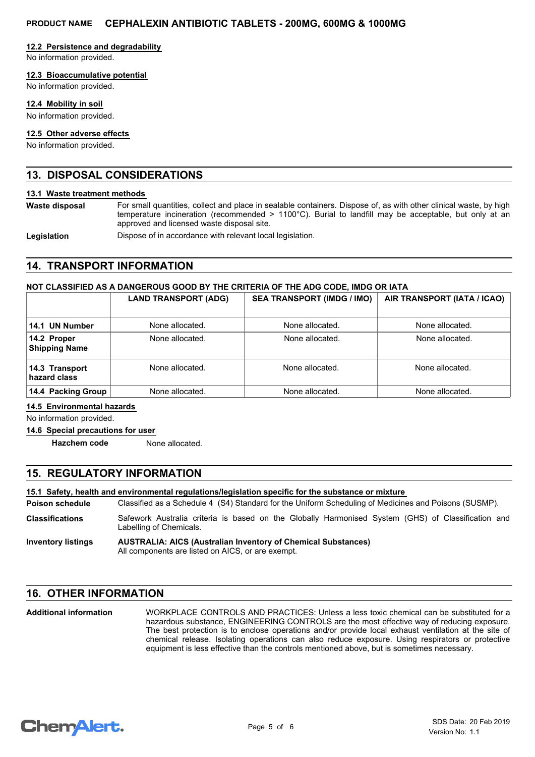## **12.2 Persistence and degradability**

No information provided.

## **12.3 Bioaccumulative potential**

No information provided.

## **12.4 Mobility in soil**

No information provided.

## **12.5 Other adverse effects**

No information provided.

## **13. DISPOSAL CONSIDERATIONS**

#### **13.1 Waste treatment methods**

**Waste disposal**

For small quantities, collect and place in sealable containers. Dispose of, as with other clinical waste, by high temperature incineration (recommended > 1100°C). Burial to landfill may be acceptable, but only at an approved and licensed waste disposal site.

Legislation **Dispose of in accordance with relevant local legislation.** 

# **14. TRANSPORT INFORMATION**

## **NOT CLASSIFIED AS A DANGEROUS GOOD BY THE CRITERIA OF THE ADG CODE, IMDG OR IATA**

|                                     | <b>LAND TRANSPORT (ADG)</b> | <b>SEA TRANSPORT (IMDG / IMO)</b> | AIR TRANSPORT (IATA / ICAO) |
|-------------------------------------|-----------------------------|-----------------------------------|-----------------------------|
| 14.1 UN Number                      | None allocated.             | None allocated.                   | None allocated.             |
| 14.2 Proper<br><b>Shipping Name</b> | None allocated.             | None allocated.                   | None allocated.             |
| 14.3 Transport<br>hazard class      | None allocated.             | None allocated.                   | None allocated.             |
| 14.4 Packing Group                  | None allocated.             | None allocated.                   | None allocated.             |

#### **14.5 Environmental hazards**

No information provided.

#### **14.6 Special precautions for user**

**Hazchem code** None allocated.

# **15. REGULATORY INFORMATION**

## **15.1 Safety, health and environmental regulations/legislation specific for the substance or mixture**

Classified as a Schedule 4 (S4) Standard for the Uniform Scheduling of Medicines and Poisons (SUSMP). **Poison schedule**

Safework Australia criteria is based on the Globally Harmonised System (GHS) of Classification and Labelling of Chemicals. **Classifications**

**AUSTRALIA: AICS (Australian Inventory of Chemical Substances)** All components are listed on AICS, or are exempt. **Inventory listings**

## **16. OTHER INFORMATION**

WORKPLACE CONTROLS AND PRACTICES: Unless a less toxic chemical can be substituted for a hazardous substance, ENGINEERING CONTROLS are the most effective way of reducing exposure. The best protection is to enclose operations and/or provide local exhaust ventilation at the site of chemical release. Isolating operations can also reduce exposure. Using respirators or protective equipment is less effective than the controls mentioned above, but is sometimes necessary. **Additional information**